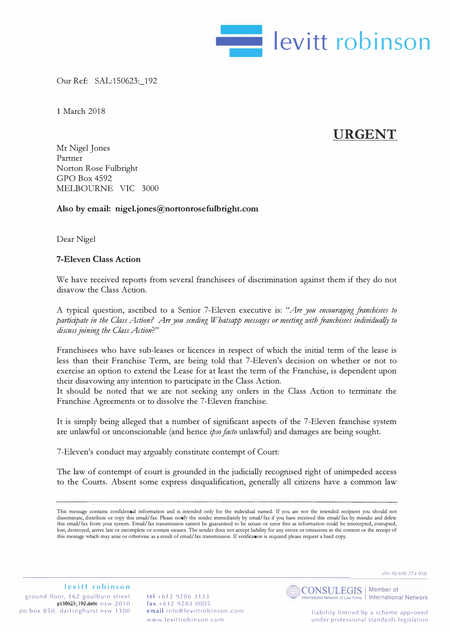

Our Ref: SAL:150623:\_192

1 March 2018

# **URGENT**

Mr Nigel Jones Partner Norton Rose Fulbright GPO Box 4592 MELBOURNE VIC 3000

# **Also by email: [nigel. jones@nortonrosefulbright.com](mailto:nigel.jones@nortonrosefulbright.com)**

Dear Nigel

### **7-Eleven Class Action**

We have received reports from several franchisees of discrimination against them if they do not disavow the Class Action.

A typical question, ascribed to a Senior 7 -Eleven executive is: *"Are you encouraging franchisees to participate in the Class Action? Are you sending Whatsapp messages or meeting with franchisees individual!} to discuss joining the Class Action?"* 

Franchisees who have sub-leases or licences in respect of which the initial term of the lease is less than their Franchise Term, are being told that 7-Eleven's decision on whether or not to exercise an option to extend the Lease for at least the term of the Franchise, is dependent upon their disavowing any intention to participate in the Class Action.

It should be noted that we are not seeking any orders in the Class Action to terminate the Franchise Agreements or to dissolve the 7-Eleven franchise.

It is simply being alleged that a number of significant aspects of the 7-Eleven franchise system are unlawful or unconscionable (and hence *ipso facto* unlawful) and damages are being sought.

7-Eleven's conduct may arguably constitute contempt of Court:

The law of contempt of court is grounded in the judicially recognised right of unimpeded access to the Courts. Absent some express disqualification, generally all citizens have a common law

abn 40 690 774 938

#### **levitt robinson**

ground floor, 162 goulburn street pit0623\19@.detx nsw 2010 po box 850, darlinghurst nsw 1300 **tel** +612 9286 3133 fax +612 9283 0005 **email** [info@levittrobinson.com](mailto:info@levittrobinson.com) www.levittrobinson.com



International Network of Law Firms | International Network

This message contains confidential information and is intended only for the individual named. If you are not the intended recipient you should not disseminate, distribute or copy this email/ fax. Please notify the sender immediately by email/ fax if you have received this email/ fax by mistake and delete this email/ fax from your system. Email/ fax transmission cannot be guaranteed to be secure or error free as information could be intercepted, corrupted, lost, destroyed, arrive late or incomplete or contain viruses. The sender does not accept liability for any errors or omissions in the content or the receipt of this message which may arise or otherwise as a result of email/ fax transmission. If verification is required please request a hard copy.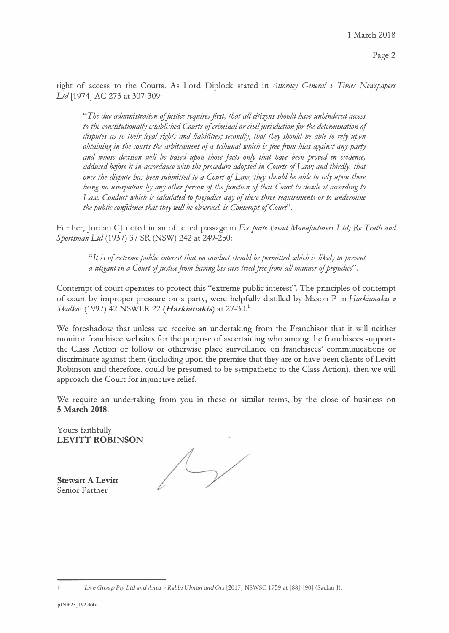Page 2

right of access to the Courts. As Lord Diplock stated in *Attornry General v Times Newspapers Ltd* [1974] AC 273 at 307-309:

*"The due administration ofjustice requires first, that all citizens should have unhindered access to the constitutional!} established Courts of criminal or civil jurisdiction far the determination of disputes as to their legal rights and liabilities; second!J, that thry should be able to re!J upon obtaining in the courts the arbitrament of a tribunal which is free from bias against any party and whose decision will be based upon those facts on!J that have been proved in evidence, adduced before it in accordance with the procedure adopted in Courts of Law; and third!J, that once the dispute has been submitted to a Court of Law, thry should be able to re!J upon there*  being no usurpation by any other person of the function of that Court to decide it according to Law. Conduct which is calculated to prejudice any of these three requirements or to undermine *the public confidence that thry will be obseroed, is Contempt of Court'.* 

Further, Jordan CJ noted in an oft cited passage in *Ex parte Bread Manufacturers Ltd; Re Truth and Sportsman Ltd* (1937) 37 SR (NSW) 242 at 249-250:

*"It is of extreme public interest that no conduct should be permitted which is like!J to prevent a litigant in a Court of justice from having his case tried free from all manner of prejudice*".

Contempt of court operates to protect this "extreme public interest". The principles of contempt of court by improper pressure on a party, were helpfully distilled by Mason P in *Harkianakis v Skalkos* (1997) 42 NSWLR 22 *(Harkianakis)* at 27-30.**<sup>1</sup>**

We foreshadow that unless we receive an undertaking from the Franchisor that it will neither monitor franchisee websites for the purpose of ascertaining who among the franchisees supports the Class Action or follow or otherwise place surveillance on franchisees' communications or discriminate against them (including upon the premise that they are or have been clients of Levitt Robinson and therefore, could be presumed to be sympathetic to the Class Action), then we will approach the Court for injunctive relief.

We require an undertaking from you in these or similar terms, by the close of business on **5 March 2018.** 

Yours faithfully **LEVITT ROBINSON** 

**Stewart A Levitt**  Senior Partner

*L*i*v*e *G*ro*u*p *P*t*y L*td <sup>a</sup>*n*d *An*or *v R*a*bb*i *U*l*m*a*n* <sup>a</sup>*n*d *O*rs [2017] NSWSC 1759 at [\[88\]-\[90\]](https://jade.io/article/56623/) (Sackar J).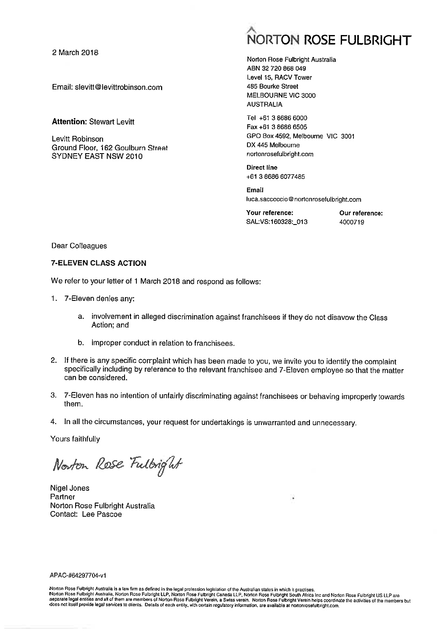2 March 2018

Email: slevitt@levittrobinson.com

Attention: Stewart Levitt

Levitt Robinson Ground Floor, 162 Goulburn Street SYDNEY EAST NSW 2010

# $\hat{\phantom{a}}$ NORTO ROSE FULBRIGHT

Norton Rose Fulbright Australia ABN 32 720 868 049 Level 15, RACV Tower 485 Bourke Street MELBOURNE VIC 3000 AUSTRALIA

Tel +61 3 8686 6000 Fax +61 3 8686 6505 GPO Box 4592, Melbourne VIC 3001 DX 445 Melbourne nortonrosefulbright.com

Direct line +61 3 8686 6077485

Email luca.saccoccio@nortonrosefulbright.com

Your reference: Our reference: SAL:VS:160328:\_013 4000719

Dear Colleagues

#### 7-ELEVEN CLASS ACTION

We refer to your letter of 1 March 2018 and respond as follows:

- I. 7-Eleven denies any:
	- a. involvement in alleged discrimination against franchisees if they do not disavow the Class Action; and
	- b. improper conduct in relation to franchisees,
- 2. If there is any specific complaint which has been made to you, we invite you to identify the complaint specifically including by reference to the relevant franchisee and 7-Eleven employee so that the matter can be consi
- 3. 7-Eleven has no intention of unfairly discriminating against franchisees or behaving improperly towards them.
- 4. In all the circumstances, your request for undertakings is unwarranted and unnecessary.

Yours faithfully

Norton Rose Fulbright

Nigel Jones Partner Norton Rose Fulbright Australia Contact: Lee Pascoe

¥

APAC-#64297704-vl

Norton Rose Fulbright Australia is a law firm as defined in the legal profession legislation of the Australian states in which it practises.<br>Norton Rose Fulbright Australia, Norton Rose Fulbright LLP, Norton Rose Fulbright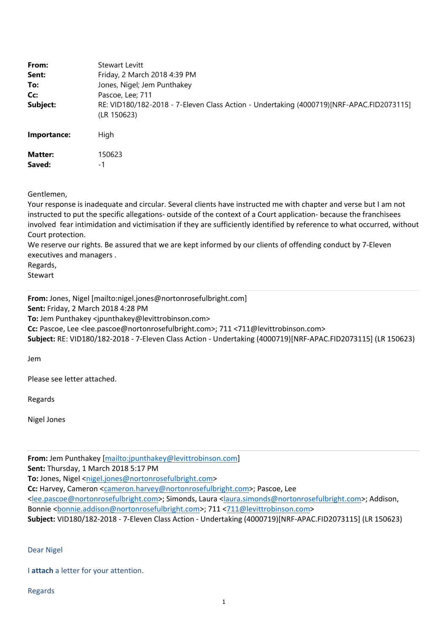| From:<br>Sent:<br>To:<br>Cc:<br>Subject: | <b>Stewart Levitt</b><br>Friday, 2 March 2018 4:39 PM<br>Jones, Nigel; Jem Punthakey<br>Pascoe, Lee; 711<br>RE: VID180/182-2018 - 7-Eleven Class Action - Undertaking (4000719)[NRF-APAC.FID2073115]<br>(LR 150623) |
|------------------------------------------|---------------------------------------------------------------------------------------------------------------------------------------------------------------------------------------------------------------------|
| Importance:                              | High                                                                                                                                                                                                                |
| <b>Matter:</b><br>Saved:                 | 150623<br>-1                                                                                                                                                                                                        |

Gentlemen,

Your response is inadequate and circular. Several clients have instructed me with chapter and verse but I am not instructed to put the specific allegations‐ outside of the context of a Court application‐ because the franchisees involved fear intimidation and victimisation if they are sufficiently identified by reference to what occurred, without Court protection.

We reserve our rights. Be assured that we are kept informed by our clients of offending conduct by 7-Eleven executives and managers .

Regards,

Stewart

**From:** Jones, Nigel [mailto:nigel.jones@nortonrosefulbright.com]

**Sent:** Friday, 2 March 2018 4:28 PM

**To:** Jem Punthakey <jpunthakey@levittrobinson.com>

**Cc:** Pascoe, Lee <lee.pascoe@nortonrosefulbright.com>; 711 <711@levittrobinson.com>

**Subject:** RE: VID180/182‐2018 ‐ 7‐Eleven Class Action ‐ Undertaking (4000719)[NRF‐APAC.FID2073115] (LR 150623)

Jem

Please see letter attached.

Regards

Nigel Jones

**From:** Jem Punthakey [mailto:jpunthakey@levittrobinson.com]

**Sent:** Thursday, 1 March 2018 5:17 PM

To: Jones, Nigel <nigel.jones@nortonrosefulbright.com>

**Cc:** Harvey, Cameron <cameron.harvey@nortonrosefulbright.com>; Pascoe, Lee

<lee.pascoe@nortonrosefulbright.com>; Simonds, Laura <laura.simonds@nortonrosefulbright.com>; Addison, Bonnie <bonnie.addison@nortonrosefulbright.com>; 711 <711@levittrobinson.com>

**Subject:** VID180/182‐2018 ‐ 7‐Eleven Class Action ‐ Undertaking (4000719)[NRF‐APAC.FID2073115] (LR 150623)

Dear Nigel

I **attach** a letter for your attention.

Regards